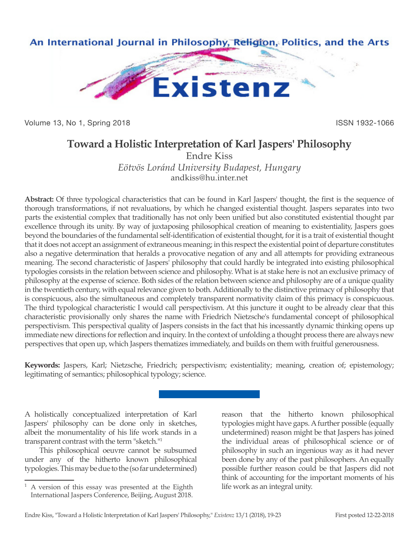

Volume 13, No 1, Spring 2018 **ISSN 1932-1066** 

## **Toward a Holistic Interpretation of Karl Jaspers' Philosophy**

Endre Kiss *Eötvös Loránd University Budapest, Hungary* andkiss@hu.inter.net

**Abstract:** Of three typological characteristics that can be found in Karl Jaspers' thought, the first is the sequence of thorough transformations, if not revaluations, by which he changed existential thought. Jaspers separates into two parts the existential complex that traditionally has not only been unified but also constituted existential thought par excellence through its unity. By way of juxtaposing philosophical creation of meaning to existentiality, Jaspers goes beyond the boundaries of the fundamental self-identification of existential thought, for it is a trait of existential thought that it does not accept an assignment of extraneous meaning; in this respect the existential point of departure constitutes also a negative determination that heralds a provocative negation of any and all attempts for providing extraneous meaning. The second characteristic of Jaspers' philosophy that could hardly be integrated into existing philosophical typologies consists in the relation between science and philosophy. What is at stake here is not an exclusive primacy of philosophy at the expense of science. Both sides of the relation between science and philosophy are of a unique quality in the twentieth century, with equal relevance given to both. Additionally to the distinctive primacy of philosophy that is conspicuous, also the simultaneous and completely transparent normativity claim of this primacy is conspicuous. The third typological characteristic I would call perspectivism. At this juncture it ought to be already clear that this characteristic provisionally only shares the name with Friedrich Nietzsche's fundamental concept of philosophical perspectivism. This perspectival quality of Jaspers consists in the fact that his incessantly dynamic thinking opens up immediate new directions for reflection and inquiry. In the context of unfolding a thought process there are always new perspectives that open up, which Jaspers thematizes immediately, and builds on them with fruitful generousness.

**Keywords:** Jaspers, Karl; Nietzsche, Friedrich; perspectivism; existentiality; meaning, creation of; epistemology; legitimating of semantics; philosophical typology; science.

A holistically conceptualized interpretation of Karl Jaspers' philosophy can be done only in sketches, albeit the monumentality of his life work stands in a transparent contrast with the term "sketch."1

This philosophical oeuvre cannot be subsumed under any of the hitherto known philosophical typologies. This may be due to the (so far undetermined) reason that the hitherto known philosophical typologies might have gaps. A further possible (equally undetermined) reason might be that Jaspers has joined the individual areas of philosophical science or of philosophy in such an ingenious way as it had never been done by any of the past philosophers. An equally possible further reason could be that Jaspers did not think of accounting for the important moments of his life work as an integral unity.

<sup>1</sup> A version of this essay was presented at the Eighth International Jaspers Conference, Beijing, August 2018.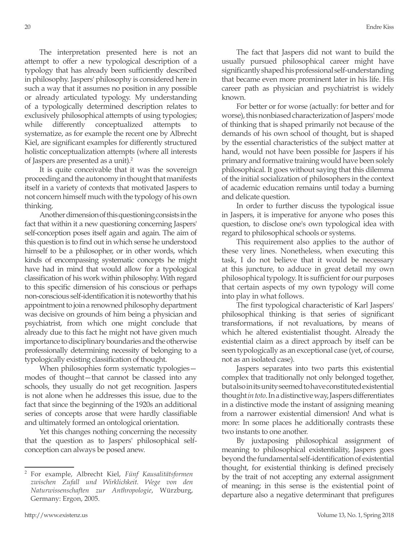The interpretation presented here is not an attempt to offer a new typological description of a typology that has already been sufficiently described in philosophy. Jaspers' philosophy is considered here in such a way that it assumes no position in any possible or already articulated typology. My understanding of a typologically determined description relates to exclusively philosophical attempts of using typologies; while differently conceptualized attempts systematize, as for example the recent one by Albrecht Kiel, are significant examples for differently structured holistic conceptualization attempts (where all interests of Jaspers are presented as a unit).<sup>2</sup>

It is quite conceivable that it was the sovereign proceeding and the autonomy in thought that manifests itself in a variety of contexts that motivated Jaspers to not concern himself much with the typology of his own thinking.

Another dimension of this questioning consists in the fact that within it a new questioning concerning Jaspers' self-conception poses itself again and again. The aim of this question is to find out in which sense he understood himself to be a philosopher, or in other words, which kinds of encompassing systematic concepts he might have had in mind that would allow for a typological classification of his work within philosophy. With regard to this specific dimension of his conscious or perhaps non-conscious self-identification it is noteworthy that his appointment to join a renowned philosophy department was decisive on grounds of him being a physician and psychiatrist, from which one might conclude that already due to this fact he might not have given much importance to disciplinary boundaries and the otherwise professionally determining necessity of belonging to a typologically existing classification of thought.

When philosophies form systematic typologies modes of thought—that cannot be classed into any schools, they usually do not get recognition. Jaspers is not alone when he addresses this issue, due to the fact that since the beginning of the 1920s an additional series of concepts arose that were hardly classifiable and ultimately formed an ontological orientation.

Yet this changes nothing concerning the necessity that the question as to Jaspers' philosophical selfconception can always be posed anew.

The fact that Jaspers did not want to build the usually pursued philosophical career might have significantly shaped his professional self-understanding that became even more prominent later in his life. His career path as physician and psychiatrist is widely known.

For better or for worse (actually: for better and for worse), this nonbiased characterization of Jaspers' mode of thinking that is shaped primarily not because of the demands of his own school of thought, but is shaped by the essential characteristics of the subject matter at hand, would not have been possible for Jaspers if his primary and formative training would have been solely philosophical. It goes without saying that this dilemma of the initial socialization of philosophers in the context of academic education remains until today a burning and delicate question.

In order to further discuss the typological issue in Jaspers, it is imperative for anyone who poses this question, to disclose one's own typological idea with regard to philosophical schools or systems.

This requirement also applies to the author of these very lines. Nonetheless, when executing this task, I do not believe that it would be necessary at this juncture, to adduce in great detail my own philosophical typology. It is sufficient for our purposes that certain aspects of my own typology will come into play in what follows.

The first typological characteristic of Karl Jaspers' philosophical thinking is that series of significant transformations, if not revaluations, by means of which he altered existentialist thought. Already the existential claim as a direct approach by itself can be seen typologically as an exceptional case (yet, of course, not as an isolated case).

Jaspers separates into two parts this existential complex that traditionally not only belonged together, but also in its unity seemed to have constituted existential thought *in toto*. In a distinctive way, Jaspers differentiates in a distinctive mode the instant of assigning meaning from a narrower existential dimension! And what is more: In some places he additionally contrasts these two instants to one another.

By juxtaposing philosophical assignment of meaning to philosophical existentiality, Jaspers goes beyond the fundamental self-identification of existential thought, for existential thinking is defined precisely by the trait of not accepting any external assignment of meaning; in this sense is the existential point of departure also a negative determinant that prefigures

<sup>2</sup> For example, Albrecht Kiel, *Fünf Kausalitätsformen zwischen Zufall und Wirklichkeit. Wege von den Naturwissenschaften zur Anthropologie*, Würzburg, Germany: Ergon, 2005.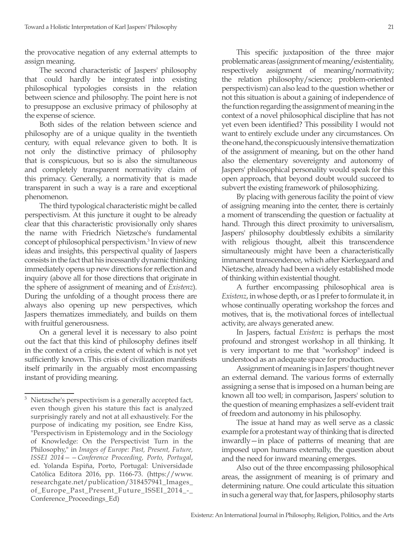the provocative negation of any external attempts to assign meaning.

The second characteristic of Jaspers' philosophy that could hardly be integrated into existing philosophical typologies consists in the relation between science and philosophy. The point here is not to presuppose an exclusive primacy of philosophy at the expense of science.

Both sides of the relation between science and philosophy are of a unique quality in the twentieth century, with equal relevance given to both. It is not only the distinctive primacy of philosophy that is conspicuous, but so is also the simultaneous and completely transparent normativity claim of this primacy. Generally, a normativity that is made transparent in such a way is a rare and exceptional phenomenon.

The third typological characteristic might be called perspectivism. At this juncture it ought to be already clear that this characteristic provisionally only shares the name with Friedrich Nietzsche's fundamental concept of philosophical perspectivism.3 In view of new ideas and insights, this perspectival quality of Jaspers consists in the fact that his incessantly dynamic thinking immediately opens up new directions for reflection and inquiry (above all for those directions that originate in the sphere of assignment of meaning and of *Existenz*). During the unfolding of a thought process there are always also opening up new perspectives, which Jaspers thematizes immediately, and builds on them with fruitful generousness.

On a general level it is necessary to also point out the fact that this kind of philosophy defines itself in the context of a crisis, the extent of which is not yet sufficiently known. This crisis of civilization manifests itself primarily in the arguably most encompassing instant of providing meaning.

This specific juxtaposition of the three major problematic areas (assignment of meaning/existentiality, respectively assignment of meaning/normativity; the relation philosophy/science; problem-oriented perspectivism) can also lead to the question whether or not this situation is about a gaining of independence of the function regarding the assignment of meaning in the context of a novel philosophical discipline that has not yet even been identified? This possibility I would not want to entirely exclude under any circumstances. On the one hand, the conspicuously intensive thematization of the assignment of meaning, but on the other hand also the elementary sovereignty and autonomy of Jaspers' philosophical personality would speak for this open approach, that beyond doubt would succeed to subvert the existing framework of philosophizing.

By placing with generous facility the point of view of assigning meaning into the center, there is certainly a moment of transcending the question or factuality at hand. Through this direct proximity to universalism, Jaspers' philosophy doubtlessly exhibits a similarity with religious thought, albeit this transcendence simultaneously might have been a characteristically immanent transcendence, which after Kierkegaard and Nietzsche, already had been a widely established mode of thinking within existential thought.

A further encompassing philosophical area is *Existenz*, in whose depth, or as I prefer to formulate it, in whose continually operating workshop the forces and motives, that is, the motivational forces of intellectual activity, are always generated anew.

In Jaspers, factual *Existenz* is perhaps the most profound and strongest workshop in all thinking. It is very important to me that "workshop" indeed is understood as an adequate space for production.

Assignment of meaning is in Jaspers' thought never an external demand. The various forms of externally assigning a sense that is imposed on a human being are known all too well; in comparison, Jaspers' solution to the question of meaning emphasizes a self-evident trait of freedom and autonomy in his philosophy.

The issue at hand may as well serve as a classic example for a protestant way of thinking that is directed inwardly—in place of patterns of meaning that are imposed upon humans externally, the question about and the need for inward meaning emerges.

Also out of the three encompassing philosophical areas, the assignment of meaning is of primary and determining nature. One could articulate this situation in such a general way that, for Jaspers, philosophy starts

Nietzsche's perspectivism is a generally accepted fact, even though given his stature this fact is analyzed surprisingly rarely and not at all exhaustively. For the purpose of indicating my position, see Endre Kiss, "Perspectivism in Epistemology and in the Sociology of Knowledge: On the Perspectivist Turn in the Philosophy," in *Images of Europe: Past, Present, Future, ISSEI 2014——Conference Proceeding, Porto, Portugal*, ed. Yolanda Espiña, Porto, Portugal: Universidade Católica Editora 2016, pp. 1166-73. (https://www. researchgate.net/publication/318457941\_Images\_ of\_Europe\_Past\_Present\_Future\_ISSEI\_2014\_-\_ Conference\_Proceedings\_Ed)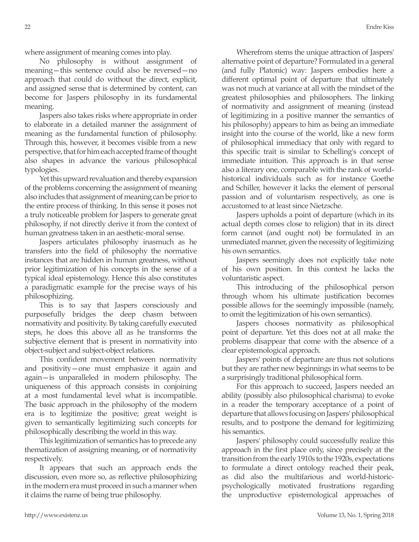where assignment of meaning comes into play.

No philosophy is without assignment of meaning—this sentence could also be reversed—no approach that could do without the direct, explicit, and assigned sense that is determined by content, can become for Jaspers philosophy in its fundamental meaning.

Jaspers also takes risks where appropriate in order to elaborate in a detailed manner the assignment of meaning as the fundamental function of philosophy. Through this, however, it becomes visible from a new perspective, that for him each accepted frame of thought also shapes in advance the various philosophical typologies.

Yet this upward revaluation and thereby expansion of the problems concerning the assignment of meaning also includes that assignment of meaning can be prior to the entire process of thinking. In this sense it poses not a truly noticeable problem for Jaspers to generate great philosophy, if not directly derive it from the context of human greatness taken in an aesthetic-moral sense.

Jaspers articulates philosophy inasmuch as he transfers into the field of philosophy the normative instances that are hidden in human greatness, without prior legitimization of his concepts in the sense of a typical ideal epistemology. Hence this also constitutes a paradigmatic example for the precise ways of his philosophizing.

This is to say that Jaspers consciously and purposefully bridges the deep chasm between normativity and positivity. By taking carefully executed steps, he does this above all as he transforms the subjective element that is present in normativity into object-subject and subject-object relations.

This confident movement between normativity and positivity—one must emphasize it again and again—is unparalleled in modern philosophy. The uniqueness of this approach consists in conjoining at a most fundamental level what is incompatible. The basic approach in the philosophy of the modern era is to legitimize the positive; great weight is given to semantically legitimizing such concepts for philosophically describing the world in this way.

This legitimization of semantics has to precede any thematization of assigning meaning, or of normativity respectively.

It appears that such an approach ends the discussion, even more so, as reflective philosophizing in the modern era must proceed in such a manner when it claims the name of being true philosophy.

Wherefrom stems the unique attraction of Jaspers' alternative point of departure? Formulated in a general (and fully Platonic) way: Jaspers embodies here a different optimal point of departure that ultimately was not much at variance at all with the mindset of the greatest philosophies and philosophers. The linking of normativity and assignment of meaning (instead of legitimizing in a positive manner the semantics of his philosophy) appears to him as being an immediate insight into the course of the world, like a new form of philosophical immediacy that only with regard to this specific trait is similar to Schelling's concept of immediate intuition. This approach is in that sense also a literary one, comparable with the rank of worldhistorical individuals such as for instance Goethe and Schiller, however it lacks the element of personal passion and of voluntarism respectively, as one is accustomed to at least since Nietzsche.

Jaspers upholds a point of departure (which in its actual depth comes close to religion) that in its direct form cannot (and ought not) be formulated in an unmediated manner, given the necessity of legitimizing his own semantics.

Jaspers seemingly does not explicitly take note of his own position. In this context he lacks the voluntaristic aspect.

This introducing of the philosophical person through whom his ultimate justification becomes possible allows for the seemingly impossible (namely, to omit the legitimization of his own semantics).

Jaspers chooses normativity as philosophical point of departure. Yet this does not at all make the problems disappear that come with the absence of a clear epistemological approach.

Jaspers' points of departure are thus not solutions but they are rather new beginnings in what seems to be a surprisingly traditional philosophical form.

For this approach to succeed, Jaspers needed an ability (possibly also philosophical charisma) to evoke in a reader the temporary acceptance of a point of departure that allows focusing on Jaspers' philosophical results, and to postpone the demand for legitimizing his semantics.

Jaspers' philosophy could successfully realize this approach in the first place only, since precisely at the transition from the early 1910s to the 1920s, expectations to formulate a direct ontology reached their peak, as did also the multifarious and world-historicpsychologically motivated frustrations regarding the unproductive epistemological approaches of